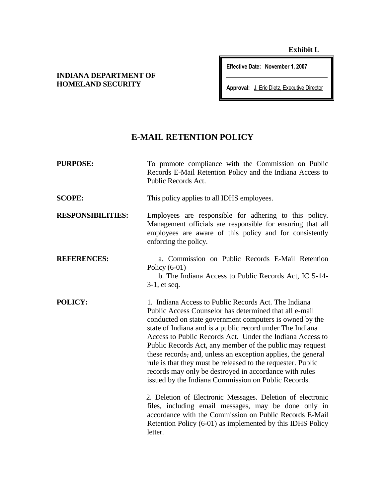## **INDIANA DEPARTMENT OF HOMELAND SECURITY**

**Effective Date: November 1, 2007**

**Approval:** J. Eric Dietz, Executive Director

## **E-MAIL RETENTION POLICY**

| <b>PURPOSE:</b>          | To promote compliance with the Commission on Public<br>Records E-Mail Retention Policy and the Indiana Access to<br>Public Records Act.                                                                                                                                                                                                                                                                                                                                                                                                                                                                                                                                       |
|--------------------------|-------------------------------------------------------------------------------------------------------------------------------------------------------------------------------------------------------------------------------------------------------------------------------------------------------------------------------------------------------------------------------------------------------------------------------------------------------------------------------------------------------------------------------------------------------------------------------------------------------------------------------------------------------------------------------|
| <b>SCOPE:</b>            | This policy applies to all IDHS employees.                                                                                                                                                                                                                                                                                                                                                                                                                                                                                                                                                                                                                                    |
| <b>RESPONSIBILITIES:</b> | Employees are responsible for adhering to this policy.<br>Management officials are responsible for ensuring that all<br>employees are aware of this policy and for consistently<br>enforcing the policy.                                                                                                                                                                                                                                                                                                                                                                                                                                                                      |
| <b>REFERENCES:</b>       | a. Commission on Public Records E-Mail Retention<br>Policy $(6-01)$<br>b. The Indiana Access to Public Records Act, IC 5-14-<br>$3-1$ , et seq.                                                                                                                                                                                                                                                                                                                                                                                                                                                                                                                               |
| <b>POLICY:</b>           | 1. Indiana Access to Public Records Act. The Indiana<br>Public Access Counselor has determined that all e-mail<br>conducted on state government computers is owned by the<br>state of Indiana and is a public record under The Indiana<br>Access to Public Records Act. Under the Indiana Access to<br>Public Records Act, any member of the public may request<br>these records, and, unless an exception applies, the general<br>rule is that they must be released to the requester. Public<br>records may only be destroyed in accordance with rules<br>issued by the Indiana Commission on Public Records.<br>2. Deletion of Electronic Messages. Deletion of electronic |
|                          | files, including email messages, may be done only in<br>accordance with the Commission on Public Records E-Mail<br>Retention Policy (6-01) as implemented by this IDHS Policy<br>letter.                                                                                                                                                                                                                                                                                                                                                                                                                                                                                      |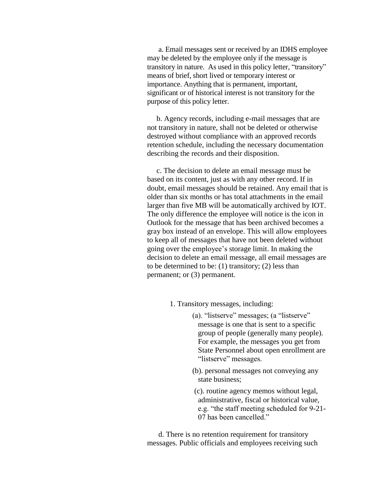a. Email messages sent or received by an IDHS employee may be deleted by the employee only if the message is transitory in nature. As used in this policy letter, "transitory" means of brief, short lived or temporary interest or importance. Anything that is permanent, important, significant or of historical interest is not transitory for the purpose of this policy letter.

 b. Agency records, including e-mail messages that are not transitory in nature, shall not be deleted or otherwise destroyed without compliance with an approved records retention schedule, including the necessary documentation describing the records and their disposition.

 c. The decision to delete an email message must be based on its content, just as with any other record. If in doubt, email messages should be retained. Any email that is older than six months or has total attachments in the email larger than five MB will be automatically archived by IOT. The only difference the employee will notice is the icon in Outlook for the message that has been archived becomes a gray box instead of an envelope. This will allow employees to keep all of messages that have not been deleted without going over the employee's storage limit. In making the decision to delete an email message, all email messages are to be determined to be: (1) transitory; (2) less than permanent; or (3) permanent.

1. Transitory messages, including:

- (a). "listserve" messages; (a "listserve" message is one that is sent to a specific group of people (generally many people). For example, the messages you get from State Personnel about open enrollment are "listserve" messages.
- (b). personal messages not conveying any state business;
- (c). routine agency memos without legal, administrative, fiscal or historical value, e.g. "the staff meeting scheduled for 9-21- 07 has been cancelled."

 d. There is no retention requirement for transitory messages. Public officials and employees receiving such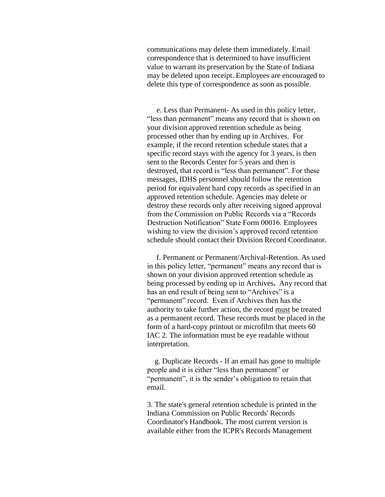communications may delete them immediately. Email correspondence that is determined to have insufficient value to warrant its preservation by the State of Indiana may be deleted upon receipt. Employees are encouraged to delete this type of correspondence as soon as possible.

 e. Less than Permanent- As used in this policy letter, "less than permanent" means any record that is shown on your division approved retention schedule as being processed other than by ending up in Archives. For example, if the record retention schedule states that a specific record stays with the agency for 3 years, is then sent to the Records Center for 5 years and then is destroyed, that record is "less than permanent". For these messages, IDHS personnel should follow the retention period for equivalent hard copy records as specified in an approved retention schedule. Agencies may delete or destroy these records only after receiving signed approval from the Commission on Public Records via a "Records Destruction Notification" State Form 00016. Employees wishing to view the division's approved record retention schedule should contact their Division Record Coordinator.

 f. Permanent or Permanent/Archival**-**Retention. As used in this policy letter, "permanent" means any record that is shown on your division approved retention schedule as being processed by ending up in Archives**.** Any record that has an end result of being sent to "Archives" is a "permanent" record. Even if Archives then has the authority to take further action, the record must be treated as a permanent record. These records must be placed in the form of a hard-copy printout or microfilm that meets 60 IAC 2. The information must be eye readable without interpretation.

 g. Duplicate Records - If an email has gone to multiple people and it is either "less than permanent" or "permanent", it is the sender's obligation to retain that email.

3. The state's general retention schedule is printed in the Indiana Commission on Public Records' Records Coordinator's Handbook. The most current version is available either from the ICPR's Records Management